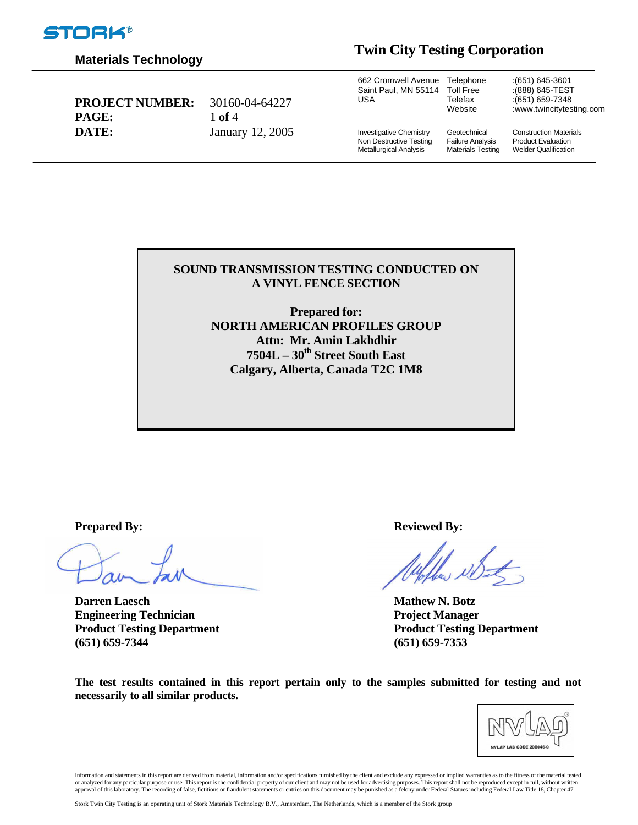

## **Materials Technology**

# **Twin City Testing Corporation**

| <b>PROJECT NUMBER:</b><br><b>PAGE:</b> | 30160-04-64227<br>1 of 4 | 662 Cromwell Avenue Telephone<br>Saint Paul. MN 55114 Toll Free<br>USA              | Telefax<br>Website                                                  | $(651)$ 645-3601<br>:(888) 645-TEST<br>: (651) 659-7348<br>:www.twincitytesting.com       |
|----------------------------------------|--------------------------|-------------------------------------------------------------------------------------|---------------------------------------------------------------------|-------------------------------------------------------------------------------------------|
| DATE:                                  | January 12, 2005         | <b>Investigative Chemistry</b><br>Non Destructive Testing<br>Metallurgical Analysis | Geotechnical<br><b>Failure Analysis</b><br><b>Materials Testing</b> | <b>Construction Materials</b><br><b>Product Evaluation</b><br><b>Welder Qualification</b> |

#### **SOUND TRANSMISSION TESTING CONDUCTED ON A VINYL FENCE SECTION**

**Prepared for: NORTH AMERICAN PROFILES GROUP Attn: Mr. Amin Lakhdhir 7504L – 30th Street South East Calgary, Alberta, Canada T2C 1M8** 

**Darren Laesch Mathew N. Botz Engineering Technician Project Manager Project Manager Project Manager (651) 659-7344 (651) 659-7353** 

**Prepared By:** Reviewed By:

**Product Testing Department Product Testing Department** 

**The test results contained in this report pertain only to the samples submitted for testing and not necessarily to all similar products.** 



Information and statements in this report are derived from material, information and/or specifications furnished by the client and exclude any expressed or implied warranties as to the fitness of the material tested or analyzed for any particular purpose or use. This report is the confidential property of our client and may not be used for advertising purposes. This report shall not be reproduced except in full, without written<br>approv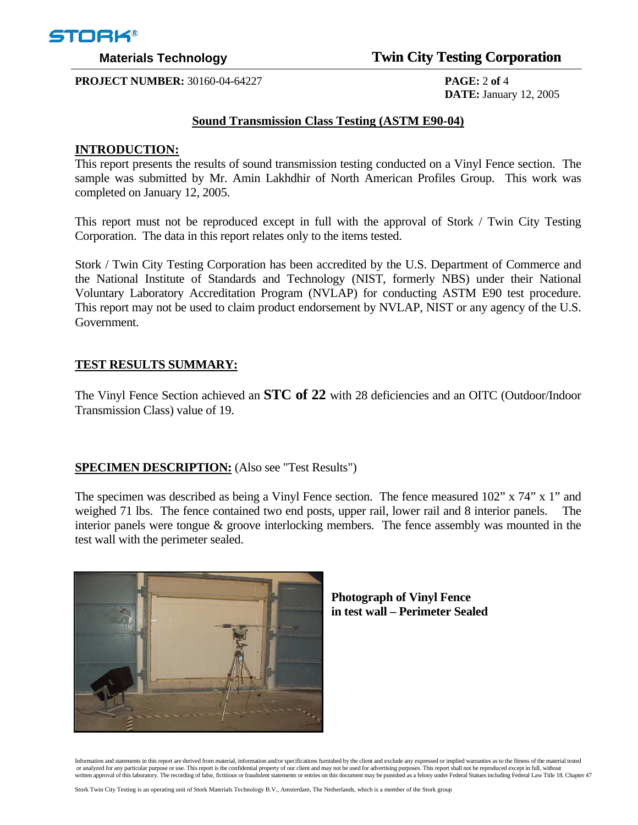

## **Materials Technology** *Twin City Testing Corporation*

**PROJECT NUMBER:** 30160-04-64227 **PAGE:** 2 **of** 4

 **DATE:** January 12, 2005

### **Sound Transmission Class Testing (ASTM E90-04)**

### **INTRODUCTION:**

This report presents the results of sound transmission testing conducted on a Vinyl Fence section. The sample was submitted by Mr. Amin Lakhdhir of North American Profiles Group. This work was completed on January 12, 2005.

This report must not be reproduced except in full with the approval of Stork / Twin City Testing Corporation. The data in this report relates only to the items tested.

Stork / Twin City Testing Corporation has been accredited by the U.S. Department of Commerce and the National Institute of Standards and Technology (NIST, formerly NBS) under their National Voluntary Laboratory Accreditation Program (NVLAP) for conducting ASTM E90 test procedure. This report may not be used to claim product endorsement by NVLAP, NIST or any agency of the U.S. Government.

### **TEST RESULTS SUMMARY:**

The Vinyl Fence Section achieved an **STC of 22** with 28 deficiencies and an OITC (Outdoor/Indoor Transmission Class) value of 19.

### **SPECIMEN DESCRIPTION:** (Also see "Test Results")

The specimen was described as being a Vinyl Fence section. The fence measured 102" x 74" x 1" and weighed 71 lbs. The fence contained two end posts, upper rail, lower rail and 8 interior panels. The interior panels were tongue & groove interlocking members. The fence assembly was mounted in the test wall with the perimeter sealed.





Information and statements in this report are derived from material, information and/or specifications furnished by the client and exclude any expressed or implied warranties as to the fitness of the material tested<br>or ana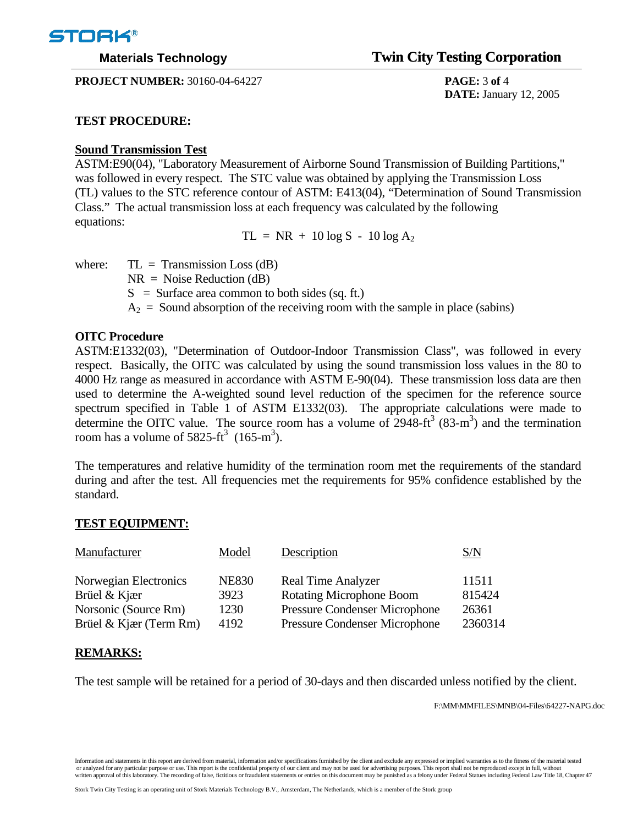

**PROJECT NUMBER:** 30160-04-64227 **PAGE:** 3 **of** 4

# **Materials Technology Twin City Testing Corporation**

 **DATE:** January 12, 2005

### **TEST PROCEDURE:**

## **Sound Transmission Test**

ASTM:E90(04), "Laboratory Measurement of Airborne Sound Transmission of Building Partitions," was followed in every respect. The STC value was obtained by applying the Transmission Loss (TL) values to the STC reference contour of ASTM: E413(04), "Determination of Sound Transmission Class." The actual transmission loss at each frequency was calculated by the following equations:

 $TL = NR + 10 log S - 10 log A<sub>2</sub>$ 

where:  $TL = Transmission Loss (dB)$ 

 $NR = Noise Reduction (dB)$ 

 $S =$  Surface area common to both sides (sq. ft.)

 $A_2$  = Sound absorption of the receiving room with the sample in place (sabins)

## **OITC Procedure**

ASTM:E1332(03), "Determination of Outdoor-Indoor Transmission Class", was followed in every respect. Basically, the OITC was calculated by using the sound transmission loss values in the 80 to 4000 Hz range as measured in accordance with ASTM E-90(04). These transmission loss data are then used to determine the A-weighted sound level reduction of the specimen for the reference source spectrum specified in Table 1 of ASTM E1332(03). The appropriate calculations were made to determine the OITC value. The source room has a volume of  $2948\text{-}ft^3$  (83-m<sup>3</sup>) and the termination room has a volume of  $5825-ft^3$  (165-m<sup>3</sup>).

The temperatures and relative humidity of the termination room met the requirements of the standard during and after the test. All frequencies met the requirements for 95% confidence established by the standard.

## **TEST EQUIPMENT:**

| Manufacturer           | Model        | Description                          | S/N     |
|------------------------|--------------|--------------------------------------|---------|
| Norwegian Electronics  | <b>NE830</b> | <b>Real Time Analyzer</b>            | 11511   |
| Brüel & Kjær           | 3923         | <b>Rotating Microphone Boom</b>      | 815424  |
| Norsonic (Source Rm)   | 1230         | Pressure Condenser Microphone        | 26361   |
| Brüel & Kjær (Term Rm) | 4192         | <b>Pressure Condenser Microphone</b> | 2360314 |

## **REMARKS:**

The test sample will be retained for a period of 30-days and then discarded unless notified by the client.

F:\MM\MMFILES\MNB\04-Files\64227-NAPG.doc

Information and statements in this report are derived from material, information and/or specifications furnished by the client and exclude any expressed or implied warranties as to the fitness of the material tested or analyzed for any particular purpose or use. This report is the confidential property of our client and may not be used for advertising purposes. This report shall not be reproduced except in full, without written approv